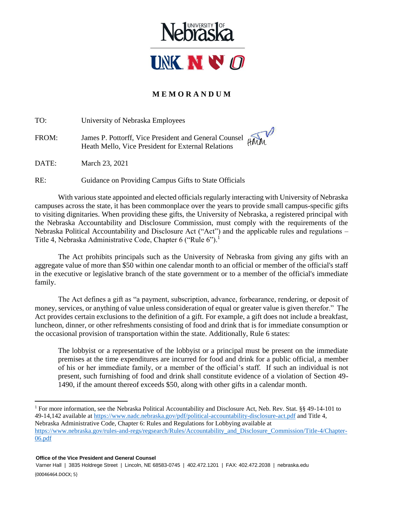

## **M E M O R A N D U M**

TO: University of Nebraska Employees FROM: James P. Pottorff, Vice President and General Counsel Heath Mello, Vice President for External Relations

DATE: March 23, 2021

RE: Guidance on Providing Campus Gifts to State Officials

With various state appointed and elected officials regularly interacting with University of Nebraska campuses across the state, it has been commonplace over the years to provide small campus-specific gifts to visiting dignitaries. When providing these gifts, the University of Nebraska, a registered principal with the Nebraska Accountability and Disclosure Commission, must comply with the requirements of the Nebraska Political Accountability and Disclosure Act ("Act") and the applicable rules and regulations – Title 4, Nebraska Administrative Code, Chapter 6 ("Rule 6").<sup>1</sup>

The Act prohibits principals such as the University of Nebraska from giving any gifts with an aggregate value of more than \$50 within one calendar month to an official or member of the official's staff in the executive or legislative branch of the state government or to a member of the official's immediate family.

The Act defines a gift as "a payment, subscription, advance, forbearance, rendering, or deposit of money, services, or anything of value unless consideration of equal or greater value is given therefor." The Act provides certain exclusions to the definition of a gift. For example, a gift does not include a breakfast, luncheon, dinner, or other refreshments consisting of food and drink that is for immediate consumption or the occasional provision of transportation within the state. Additionally, Rule 6 states:

The lobbyist or a representative of the lobbyist or a principal must be present on the immediate premises at the time expenditures are incurred for food and drink for a public official, a member of his or her immediate family, or a member of the official's staff. If such an individual is not present, such furnishing of food and drink shall constitute evidence of a violation of Section 49- 1490, if the amount thereof exceeds \$50, along with other gifts in a calendar month.

 $\overline{a}$ 

<sup>1</sup> For more information, see the Nebraska Political Accountability and Disclosure Act, Neb. Rev. Stat. §§ 49-14-101 to 49-14,142 available a[t https://www.nadc.nebraska.gov/pdf/political-accountability-disclosure-act.pdf](https://www.nadc.nebraska.gov/pdf/political-accountability-disclosure-act.pdf) and Title 4, Nebraska Administrative Code, Chapter 6: Rules and Regulations for Lobbying available at [https://www.nebraska.gov/rules-and-regs/regsearch/Rules/Accountability\\_and\\_Disclosure\\_Commission/Title-4/Chapter-](https://www.nebraska.gov/rules-and-regs/regsearch/Rules/Accountability_and_Disclosure_Commission/Title-4/Chapter-06.pdf)[06.pdf](https://www.nebraska.gov/rules-and-regs/regsearch/Rules/Accountability_and_Disclosure_Commission/Title-4/Chapter-06.pdf)

<sup>{00046464.</sup>DOCX; 5} Varner Hall | 3835 Holdrege Street | Lincoln, NE 68583-0745 | 402.472.1201 | FAX: 402.472.2038 | nebraska.edu